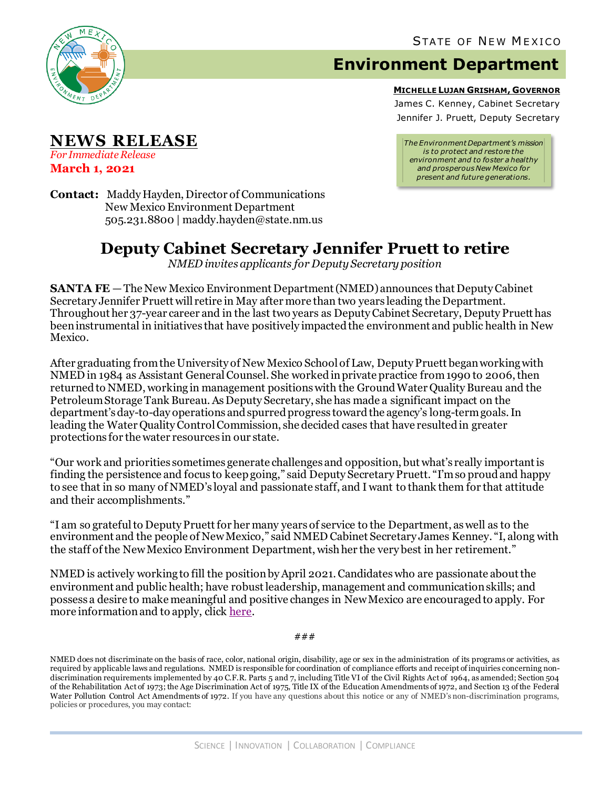

**NEWS RELEASE**

*For Immediate Release* **March 1, 2021**

## **Environment Department**

**MICHELLE LUJAN GRISHAM, GOVERNOR**

James C. Kenney, Cabinet Secretary Jennifer J. Pruett, Deputy Secretary

*The Environment Department's mission is to protect and restore the environment and to foster a healthy and prosperous New Mexico for present and future generations.*

**Contact:** Maddy Hayden, Director of Communications New Mexico Environment Department 505.231.8800 | maddy.hayden@state.nm.us

## **Deputy Cabinet Secretary Jennifer Pruett to retire**

*NMED invites applicants for Deputy Secretary position*

**SANTA FE** – The New Mexico Environment Department (NMED) announces that Deputy Cabinet Secretary Jennifer Pruett will retire in May after more than two years leading the Department. Throughout her 37-year career and in the last two years as Deputy Cabinet Secretary, Deputy Pruett has been instrumental in initiatives that have positively impacted the environment and public health in New Mexico.

After graduating fromthe University of New Mexico School of Law, DeputyPruett began working with NMED in 1984 as Assistant General Counsel. She worked in private practice from 1990 to 2006, then returned to NMED, working in management positions with the Ground Water Quality Bureau and the Petroleum Storage Tank Bureau. As Deputy Secretary, she has made a significant impact on the department's day-to-day operations and spurred progress toward the agency's long-term goals. In leading the Water Quality Control Commission, she decided cases that have resulted in greater protections for the water resources in our state.

"Our work and priorities sometimes generate challenges and opposition, but what's really important is finding the persistence and focus to keep going," said Deputy SecretaryPruett. "I'm so proud and happy to see that in so many of NMED's loyal and passionate staff, and I want to thank them for that attitude and their accomplishments."

"I am so grateful to Deputy Pruett for her many years of service to the Department, as well as to the environment and the people of New Mexico," said NMED Cabinet Secretary James Kenney. "I, along with the staff of the New Mexico Environment Department, wish her the very best in her retirement."

NMED is actively working to fill the position by April 2021.Candidates who are passionate about the environment and public health; have robust leadership, management and communication skills; and possess a desire to make meaningful and positive changes in New Mexico are encouraged to apply. For more information and to apply, click [here.](https://www.governor.state.nm.us/apply/open-positions/)

###

NMED does not discriminate on the basis of race, color, national origin, disability, age or sex in the administration of its programs or activities, as required by applicable laws and regulations. NMED is responsible for coordination of compliance efforts and receipt of inquiries concerning nondiscrimination requirements implemented by 40 C.F.R. Parts 5 and 7, including Title VI of the Civil Rights Act of 1964, as amended; Section 504 of the Rehabilitation Act of 1973; the Age Discrimination Act of 1975, Title IX of the Education Amendments of 1972, and Section 13 of the Federal Water Pollution Control Act Amendments of 1972. If you have any questions about this notice or any of NMED's non-discrimination programs, policies or procedures, you may contact: